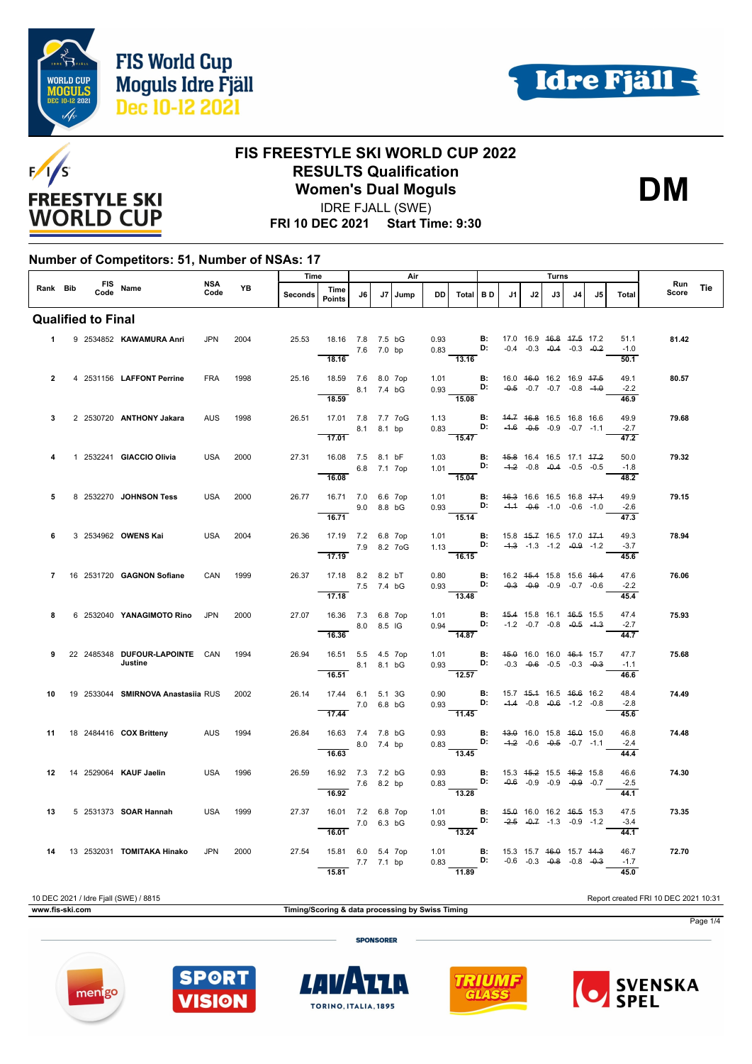



**DM**



#### **FIS FREESTYLE SKI WORLD CUP 2022 RESULTS Qualification Women's Dual Moguls**

IDRE FJALL (SWE)

**FRI 10 DEC 2021 Start Time: 9:30**

#### **Number of Competitors: 51, Number of NSAs: 17**

|                |                           |                                           | Time<br>Air        |           |         |                                                             |            |    | Turns |           |                                                                                                             |                                                |                                    |    |                                    |                |     |                        |              |     |
|----------------|---------------------------|-------------------------------------------|--------------------|-----------|---------|-------------------------------------------------------------|------------|----|-------|-----------|-------------------------------------------------------------------------------------------------------------|------------------------------------------------|------------------------------------|----|------------------------------------|----------------|-----|------------------------|--------------|-----|
| Rank Bib       |                           | FIS Name                                  | <b>NSA</b><br>Code | <b>YB</b> | Seconds | Time<br>Points                                              | J6         | J7 | Jump  | <b>DD</b> | Total BD                                                                                                    |                                                | J1                                 | J2 | J3                                 | J <sub>4</sub> | .15 | Total                  | Run<br>Score | Tie |
|                | <b>Qualified to Final</b> |                                           |                    |           |         |                                                             |            |    |       |           |                                                                                                             |                                                |                                    |    |                                    |                |     |                        |              |     |
|                |                           | 1 9 2534852 KAWAMURA Anri                 | <b>JPN</b>         | 2004      | 25.53   | 18.16 7.8 7.5 bG<br>18.16                                   | 7.6 7.0 bp |    |       | 0.93      | 0.83 <b>D:</b> $-0.4$ $-0.3$ $-0.4$ $-0.3$ $-0.2$<br>13.16                                                  | <b>B:</b> 17.0 16.9 <del>16.8 17.5</del> 17.2  |                                    |    |                                    |                |     | 51.1<br>$-1.0$<br>50.1 | 81.42        |     |
| $\overline{2}$ |                           | 4 2531156 LAFFONT Perrine                 | FRA                | 1998      | 25.16   | 18.59 7.6 8.0 7op<br>8.1 7.4 bG<br>18.59                    |            |    |       |           | 1.01 <b>B:</b><br>0.93 <b>D:</b><br>$rac{0.55}{15.08}$                                                      |                                                | 16.0 46.0 16.2 16.9 47.5           |    | $-0.5$ $-0.7$ $-0.7$ $-0.8$ $-4.0$ |                |     | 49.1<br>$-2.2$<br>46.9 | 80.57        |     |
| 3              |                           | 2 2530720 ANTHONY Jakara                  | <b>AUS</b>         | 1998      |         | 26.51 17.01 7.8 7.7 7oG<br>8.1 8.1 bp<br>$\overline{17.01}$ |            |    |       |           | 1.13 <b>B:</b> 44.7 46.8 16.5 16.8 16.6<br>0.83 <b>D:</b> -4.6 -0.5 -0.9 -0.7 -1.1<br>$\overline{15.47}$    |                                                |                                    |    |                                    |                |     | 49.9<br>$-2.7$<br>47.2 | 79.68        |     |
| 4              |                           | 1 2532241 GIACCIO Olivia                  | <b>USA</b>         | 2000      | 27.31   | 16.08 7.5 8.1 bF<br>6.8 7.1 7op<br>16.08                    |            |    |       |           | $1.03$ B:<br>$1.01$ D:<br>15.04                                                                             |                                                | 45.8 16.4 16.5 17.1 47.2           |    | $-4.2$ $-0.8$ $-0.4$ $-0.5$ $-0.5$ |                |     | 50.0<br>$-1.8$<br>48.2 | 79.32        |     |
| 5              |                           | 8 2532270 JOHNSON Tess                    | USA                | 2000      | 26.77   | 16.71 7.0 6.6 7op<br>$9.0$ 8.8 bG<br>16.71                  |            |    |       | and a     | 1.01 <b>B</b> : 46.3 16.6 16.5 16.8 47.4<br>0.93 <b>D:</b> -4.4 -0.6 -1.0 -0.6 -1.0<br>15.14                |                                                |                                    |    |                                    |                |     | 49.9<br>$-2.6$<br>47.3 | 79.15        |     |
| 6              |                           | 3 2534962 OWENS Kai                       | <b>USA</b>         | 2004      | 26.36   | 17.19 7.2 6.8 7op<br>7.9 8.2 7 o G<br>17.19                 |            |    |       | 1.01      | 1.13 <b>D</b> :<br>16.15                                                                                    | <b>B:</b> 15.8 4 <del>5.7</del> 16.5 17.0 47.4 | $-4.3$ $-1.3$ $-1.2$ $-0.9$ $-1.2$ |    |                                    |                |     | 49.3<br>$-3.7$<br>45.6 | 78.94        |     |
| $\overline{7}$ |                           | 16 2531720 GAGNON Sofiane                 | CAN                | 1999      | 26.37   | 17.18 8.2 8.2 bT<br>7.5 7.4 bG<br>17.18                     |            |    |       |           | 0.80 <b>B</b> : 16.2 45.4 15.8 15.6 46.4<br>0.93 <b>D:</b> -0.3 -0.9 -0.9 -0.7 -0.6<br>$\overline{13.48}$   |                                                |                                    |    |                                    |                |     | 47.6<br>$-2.2$<br>45.4 | 76.06        |     |
| 8              |                           | 6 2532040 YANAGIMOTO Rino JPN             |                    | 2000      | 27.07   | 16.36 7.3 6.8 7op<br>8.0 8.5 IG<br>16.36                    |            |    |       |           | 1.01 <b>B:</b> 45.4 15.8 16.1 46.5 15.5<br>0.94 D: $-1.2$ $-0.7$ $-0.8$ $-0.5$ $-1.3$<br>$\overline{14.87}$ |                                                |                                    |    |                                    |                |     | 47.4<br>$-2.7$<br>44.7 | 75.93        |     |
| 9              |                           | 22 2485348 DUFOUR LAPOINTE CAN<br>Justine |                    | 1994      | 26.94   | 16.51 5.5 4.5 7op<br>16.51                                  | 8.1 8.1 bG |    |       |           | 1.01 <b>B:</b> 4 <del>5.0</del> 16.0 16.0 46.4 15.7<br>0.93 <b>D:</b> -0.3 -0.6 -0.5 -0.3 -0.3<br>12.57     |                                                |                                    |    |                                    |                |     | 47.7<br>$-1.1$<br>46.6 | 75.68        |     |
| 10             |                           | 19 2533044 SMIRNOVA Anastasiia RUS 2002   |                    |           | 26.14   | 17.44 6.1 5.1 3G<br>7.0 6.8 bG<br>17.44                     |            |    |       | 0.90      | $0.93$ D: $-4.4$ $-0.8$ $-0.6$ $-1.2$ $-0.8$<br>11.45                                                       | <b>B:</b> 15.7 45.4 16.5 46.6 16.2             |                                    |    |                                    |                |     | 48.4<br>$-2.8$<br>45.6 | 74.49        |     |
| 11             |                           | 18 2484416 <b>COX Britteny</b>            | AUS                | 1994      | 26.84   | 16.63 7.4 7.8 bG<br>8.0 7.4 bp<br>16.63                     |            |    |       |           | $\begin{array}{ccc} 0.93 & & \textbf{B:} \\ 0.83 & & \textbf{D:} \end{array}$<br>$\overline{13.45}$         |                                                | 43.0 16.0 15.8 46.0 15.0           |    | $-4.2$ $-0.6$ $-0.5$ $-0.7$ $-1.1$ |                |     | 46.8<br>$-2.4$<br>44.4 | 74.48        |     |
| 12             |                           | 14 2529064 KAUF Jaelin                    | USA                | 1996      | 26.59   | 16.92 7.3 7.2 bG<br>$7.6$ 8.2 bp<br>16.92                   |            |    |       | 0.93      | $0.83$ D: $-0.6$ -0.9 -0.9 -0.9 -0.7<br>$\overline{13.28}$                                                  | <b>B:</b> 15.3 4 <del>5.2</del> 15.5 46.2 15.8 |                                    |    |                                    |                |     | 46.6<br>$-2.5$<br>44.1 | 74.30        |     |
| 13             |                           | 5 2531373 SOAR Hannah                     | <b>USA</b>         | 1999      | 27.37   | 16.01 7.2 6.8 7op<br>16.01                                  | 7.0 6.3 bG |    |       | 1.01      | 0.93 <b>D:</b> $-2.5$ $-0.7$ $-1.3$ $-0.9$ $-1.2$<br>$\frac{13.24}{ }$                                      | <b>B:</b> 45.0 16.0 16.2 46.5 15.3             |                                    |    |                                    |                |     | 47.5<br>$-3.4$<br>44.1 | 73.35        |     |
| 14             |                           | 13 2532031 <b>TOMITAKA Hinako</b>         | <b>JPN</b>         | 2000      | 27.54   | 15.81 6.0 5.4 7op<br>15.81                                  | 7.7 7.1 bp |    |       |           | 1.01 <b>B:</b> 15.3 15.7 4 <del>6.0</del> 15.7 44.3<br>0.83 <b>D:</b> -0.6 -0.3 -0.8 -0.8 -0.3<br>11.89     |                                                |                                    |    |                                    |                |     | 46.7<br>$-1.7$<br>45.0 | 72.70        |     |

#### 10 DEC 2021 / Idre Fjall (SWE) / 8815 Report created FRI 10 DEC 2021 10:31 **www.fis-ski.com Timing/Scoring & data processing by Swiss Timing** Page 1/4**SPONSORER**









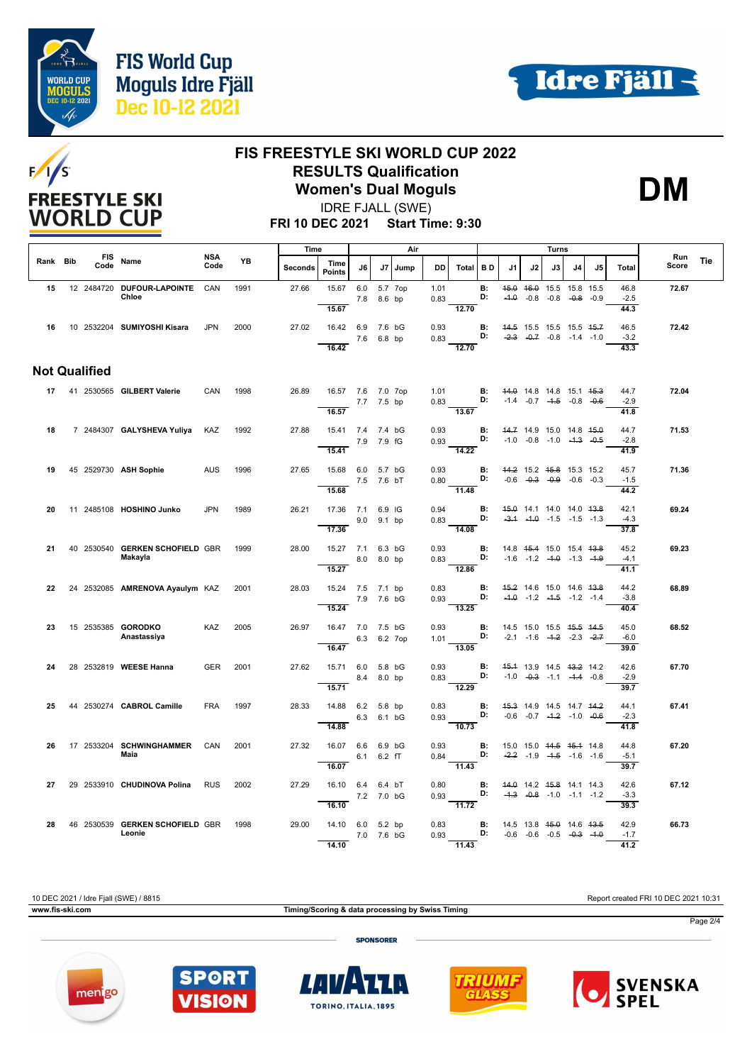





#### **FIS FREESTYLE SKI WORLD CUP 2022 RESULTS Qualification Women's Dual Moguls**

IDRE FJALL (SWE)

**DM**

**FRI 10 DEC 2021 Start Time: 9:30**

|          |                      |                                            | Time<br>Air        |      |         |                                                  |             | Turns  |         |                     |                                                                   |                 |                                                          |                                                                |    |              |    |                                |              |     |
|----------|----------------------|--------------------------------------------|--------------------|------|---------|--------------------------------------------------|-------------|--------|---------|---------------------|-------------------------------------------------------------------|-----------------|----------------------------------------------------------|----------------------------------------------------------------|----|--------------|----|--------------------------------|--------------|-----|
| Rank Bib | Code                 | FIS Name                                   | <b>NSA</b><br>Code | YB   | Seconds | Time<br><b>Points</b>                            | J6          | J7     | Jump    | DD                  | Total   BD                                                        |                 | J1                                                       | J2                                                             | J3 | J4           | J5 | <b>Total</b>                   | Run<br>Score | Tie |
| 15       |                      | 12 2484720 DUFOUR LAPOINTE CAN<br>Chloe    |                    | 1991 | 27.66   | 15.67 6.0<br>15.67                               | 7.8         | 8.6 bp | 5.7 7op | 1.01<br>0.83        | 12.70                                                             | B:<br>D:        |                                                          | 45.0 46.0 15.5 15.8 15.5<br>$-4.0$ $-0.8$ $-0.8$               |    | $-0.8 - 0.9$ |    | 46.8<br>$-2.5$<br>44.3         | 72.67        |     |
| 16       |                      | 10 2532204 SUMIYOSHI Kisara                | <b>JPN</b>         | 2000 | 27.02   | 16.42 6.9 7.6 bG<br>16.42                        | 7.6 6.8 bp  |        |         | 0.93<br>0.83        | D:<br>12.70                                                       | B:              | 44.5 15.5 15.5 15.5 45.7                                 | $-2.3$ $-0.7$ $-0.8$ $-1.4$ $-1.0$                             |    |              |    | 46.5<br>$-3.2$<br>43.3         | 72.42        |     |
|          | <b>Not Qualified</b> |                                            |                    |      |         |                                                  |             |        |         |                     |                                                                   |                 |                                                          |                                                                |    |              |    |                                |              |     |
|          |                      | 17 41 2530565 GILBERT Valerie              | CAN                | 1998 | 26.89   | 16.57 7.6 7.0 7op<br>16.57                       | 7.7 7.5 bp  |        |         | 1.01                | 0.83 <b>D:</b> $-1.4$ $-0.7$ $-4.5$ $-0.8$ $-0.6$<br>13.67        |                 | <b>B:</b> 44.0 14.8 14.8 15.1 45.3                       |                                                                |    |              |    | 44.7<br>$-2.9$<br>41.8         | 72.04        |     |
| 18       |                      | 7 2484307 GALYSHEVA Yuliya KAZ             |                    | 1992 | 27.88   | 15.41 7.4 7.4 bG                                 | 7.9 7.9 fG  |        |         | 0.93<br>0.93        |                                                                   | B:<br>D:        | $-1.0$ $-0.8$ $-1.0$ $-4.3$ $-0.5$                       | 44.7 14.9 15.0 14.8 45.0                                       |    |              |    | 44.7<br>$-2.8$                 | 71.53        |     |
| 19       |                      | 45 2529730 ASH Sophie                      | <b>AUS</b>         | 1996 | 27.65   | 15.41<br>15.68 6.0 5.7 bG                        | 7.5 7.6 bT  |        |         | 0.93                | $\frac{1}{14.22}$<br>$0.80$ D: $-0.6$ $-0.3$ $-0.9$ $-0.6$ $-0.3$ |                 | <b>B:</b> 44.2 15.2 45.8 15.3 15.2                       |                                                                |    |              |    | 41.9<br>45.7<br>$-1.5$         | 71.36        |     |
| 20       |                      | 11 2485108 HOSHINO Junko                   | <b>JPN</b>         | 1989 | 26.21   | 15.68<br>17.36 7.1 6.9 IG                        | 9.0         | 9.1 bp |         | 0.94<br>0.83        | $\frac{1}{11.48}$<br>D:                                           | <b>B:</b>       |                                                          | 45.0 14.1 14.0 14.0 43.8<br>$-3.4$ $-4.0$ $-1.5$ $-1.5$ $-1.3$ |    |              |    | 44.2<br>42.1<br>$-4.3$         | 69.24        |     |
| 21       |                      | 40 2530540 GERKEN SCHOFIELD GBR<br>Makayla |                    | 1999 | 28.00   | 17.36<br>15.27 7.1 6.3 bG                        | 8.0 8.0 bp  |        |         | $\sim 10^6$<br>0.93 | 14.08<br>$0.83$ D: $-1.6$ $-1.2$ $-4.0$ $-1.3$ $-1.9$             | B:              |                                                          | 14.8 45.4 15.0 15.4 43.8                                       |    |              |    | 37.8<br>45.2<br>$-4.1$         | 69.23        |     |
| 22       |                      | 24 2532085 AMRENOVA Ayaulym KAZ            |                    | 2001 | 28.03   | 15.27<br>15.24 7.5 7.1 bp                        | 7.9 7.6 bG  |        |         | 0.83<br>0.93        | 12.86<br>D:                                                       | <b>B:</b>       |                                                          | 45.2 14.6 15.0 14.6 43.8<br>$-4.0$ $-1.2$ $-4.5$ $-1.2$ $-1.4$ |    |              |    | 41.1<br>44.2<br>$-3.8$         | 68.89        |     |
| 23       |                      | 15 2535385 GORODKO                         | KAZ                | 2005 | 26.97   | 15.24<br>16.47 7.0 7.5 bG                        |             |        |         | 0.93                | 13.25                                                             | B:              | 14.5 15.0 15.5 45.5 44.5                                 |                                                                |    |              |    | 40.4<br>45.0                   | 68.52        |     |
|          |                      | Anastassiya                                |                    |      |         | 16.47                                            | 6.3 6.2 7op |        |         | 1.01                | 13.05                                                             | D:              |                                                          | $-2.1$ $-1.6$ $-4.2$ $-2.3$ $-2.7$                             |    |              |    | $-6.0$<br>39.0                 |              |     |
| 24       |                      | 28 2532819 WEESE Hanna                     | <b>GER</b>         | 2001 | 27.62   | 15.71 6.0 5.8 bG<br>15.71                        | 8.4 8.0 bp  |        |         | 0.93<br>0.83        | 12.29                                                             | <b>B:</b><br>D: |                                                          | 45.4 13.9 14.5 43.2 14.2<br>$-1.0$ $-0.3$ $-1.1$ $-1.4$ $-0.8$ |    |              |    | 42.6<br>$-2.9$<br>39.7         | 67.70        |     |
| 25       |                      | 44 2530274 CABROL Camille                  | <b>FRA</b>         | 1997 | 28.33   | 14.88 6.2 5.8 bp<br>14.88                        | 6.3 6.1 bG  |        |         | 0.83<br>0.93        | D:<br>$\frac{1}{10.73}$                                           | <b>B:</b>       |                                                          | 45.3 14.9 14.5 14.7 44.2<br>$-0.6$ $-0.7$ $-4.2$ $-1.0$ $-0.6$ |    |              |    | 44.1<br>$-2.3$<br>41.8         | 67.41        |     |
| 26       |                      | 17 2533204 SCHWINGHAMMER<br>Maia           | CAN                | 2001 | 27.32   | 16.07 6.6 6.9 bG                                 | 6.1 6.2 fT  |        |         | 0.93<br>0.84        | <b>D:</b> $-2.2$ $-1.9$ $-4.5$ $-1.6$ $-1.6$                      |                 | <b>B:</b> 15.0 15.0 <del>14.5</del> <del>15.1</del> 14.8 |                                                                |    |              |    | 44.8<br>$-5.1$                 | 67.20        |     |
| 27       |                      | 29 2533910 CHUDINOVA Polina                | <b>RUS</b>         | 2002 | 27.29   | 16.07<br>16.10 6.4 6.4 bT                        | 7.2 7.0 bG  |        |         | 0.80<br>0.93        | $\overline{11.43}$<br>D:                                          | <b>B:</b>       |                                                          | 44.0 14.2 45.8 14.1 14.3<br>$-4.3$ $-0.8$ $-1.0$ $-1.1$ $-1.2$ |    |              |    | 39.7<br>42.6<br>$-3.3$         | 67.12        |     |
| 28       |                      | 46 2530539 GERKEN SCHOFIELD GBR<br>Leonie  |                    | 1998 | 29.00   | 16.10<br>14.10 6.0 5.2 bp<br>7.0 7.6 bG<br>14.10 |             |        |         | 0.83<br>0.93        | $\frac{11.72}{ }$<br>$D:$ $D:$<br>11.43                           |                 | <b>B:</b> 14.5 13.8 <del>15.0</del> 14.6 <del>13.5</del> | $-0.6$ $-0.6$ $-0.5$ $-0.3$ $-4.0$                             |    |              |    | 39.3<br>42.9<br>$-1.7$<br>41.2 | 66.73        |     |

10 DEC 2021 / Idre Fjall (SWE) / 8815 Report created FRI 10 DEC 2021 10:31

**www.fis-ski.com Timing/Scoring & data processing by Swiss Timing**

Page 2/4

**SPONSORER** 









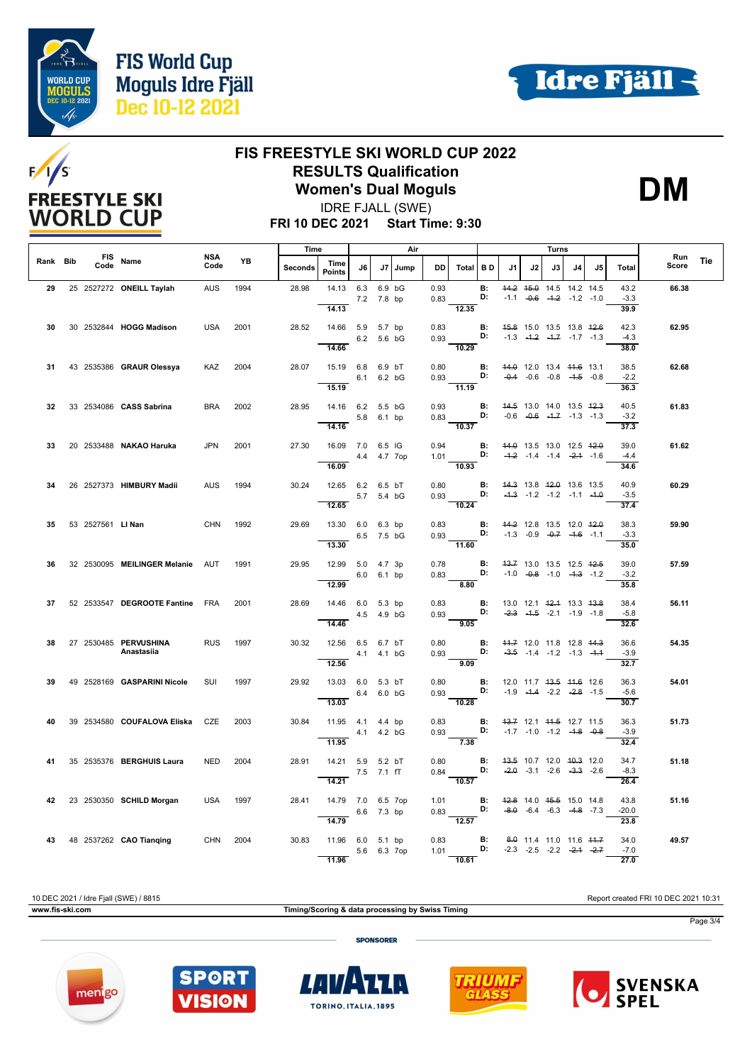

's

**FREESTYLE SKI WORLD CUP** 

F/



### **FIS FREESTYLE SKI WORLD CUP 2022 RESULTS Qualification Women's Dual Moguls**



IDRE FJALL (SWE)

**FRI 10 DEC 2021 Start Time: 9:30**

|          |                  |                                       |             |           | Time           |                                            |              |             | Air  |              |                                                                        |                 |                                                                                                |    | Turns                                                          |    |     |                                     |              |            |
|----------|------------------|---------------------------------------|-------------|-----------|----------------|--------------------------------------------|--------------|-------------|------|--------------|------------------------------------------------------------------------|-----------------|------------------------------------------------------------------------------------------------|----|----------------------------------------------------------------|----|-----|-------------------------------------|--------------|------------|
| Rank Bib | Code             | FIS Name                              | NSA<br>Code | <b>YB</b> | <b>Seconds</b> | Time<br><b>Points</b>                      | J6           | J7          | Jump | DD           | Total BD                                                               |                 | J1                                                                                             | J2 | J3 I                                                           | J4 | .15 | Total                               | Run<br>Score | <b>Tie</b> |
| 29       |                  | 25 2527272 ONEILL Taylah              | <b>AUS</b>  | 1994      | 28.98          | 14.13 6.3<br>14.13                         | 7.2 7.8 bp   | 6.9 bG      |      | 0.93<br>0.83 | 12.35                                                                  | <b>B:</b><br>D: |                                                                                                |    | 44.2 45.0 14.5 14.2 14.5<br>$-1.1$ $-0.6$ $-4.2$ $-1.2$ $-1.0$ |    |     | 43.2<br>$-3.3$<br>39.9              | 66.38        |            |
| 30       |                  | 30 2532844 HOGG Madison               | <b>USA</b>  | 2001      | 28.52          | 14.66 5.9 5.7 bp<br>14.66                  | 6.2 5.6 bG   |             |      | 0.83         | 0.93 <b>D:</b> $-1.3$ $-4.2$ $-4.7$ $-1.7$ $-1.3$<br>$\frac{1}{10.29}$ |                 | <b>B:</b> 45.8 15.0 13.5 13.8 42.6                                                             |    |                                                                |    |     | 42.3<br>$-4.3$<br>38.0              | 62.95        |            |
| 31       |                  | 43 2535386 GRAUR Olessya              | KAZ         | 2004      | 28.07          | 15.19 6.8 6.9 bT<br>15.19                  | 6.1          | 6.2 bG      |      | 0.80         | $0.93$ D:<br>11.19                                                     | B:              | 44.0 12.0 13.4 44.6 13.1                                                                       |    | $-0.4$ $-0.6$ $-0.8$ $-4.5$ $-0.8$                             |    |     | 38.5<br>$-2.2$<br>36.3              | 62.68        |            |
| 32       |                  | 33 2534086 CASS Sabrina               | <b>BRA</b>  | 2002      | 28.95          | 14.16 6.2 5.5 bG<br>5.8 6.1 bp<br>14.16    |              |             |      | 0.93         | 0.83 <b>D:</b> $-0.6$ $-0.6$ $-1.7$ $-1.3$ $-1.3$<br>$\frac{1}{10.37}$ | B:              | 44.5 13.0 14.0 13.5 42.3                                                                       |    |                                                                |    |     | 40.5<br>$-3.2$<br>37.3              | 61.83        |            |
| 33       |                  | 20 2533488 NAKAO Haruka               | <b>JPN</b>  | 2001      | 27.30          | 16.09 7.0 6.5 IG<br>16.09                  | 4.4 4.7 7op  |             |      | 0.94         | 1.01 <b>D:</b> $-4.2$ $-1.4$ $-1.4$ $-2.4$ $-1.6$<br>$\frac{1}{10.93}$ |                 | <b>B:</b> 44.0 13.5 13.0 12.5 42.0                                                             |    |                                                                |    |     | 39.0<br>$-4.4$<br>34.6              | 61.62        |            |
| 34       |                  | 26 2527373 HIMBURY Madii              | <b>AUS</b>  | 1994      | 30.24          | 12.65 6.2 6.5 bT<br>12.65                  |              | 5.7 5.4 bG  |      |              | 0.80 <b>B:</b><br>0.93 <b>D:</b><br>$-10.24$                           |                 | 44.3 13.8 42.0 13.6 13.5                                                                       |    | $-4.3$ $-1.2$ $-1.2$ $-1.1$ $-4.0$                             |    |     | 40.9<br>$-3.5$<br>37.4              | 60.29        |            |
| 35       | 53 2527561 LINan |                                       | <b>CHN</b>  | 1992      | 29.69          | 13.30 6.0 6.3 bp<br>6.5 7.5 bG<br>13.30    |              |             |      | 0.83         | $0.93$ D: -1.3 -0.9 -0.7 -1.6 -1.1<br>$-11.60$                         |                 | <b>B:</b> 44.2 12.8 13.5 12.0 42.0                                                             |    |                                                                |    |     | 38.3<br>$-3.3$<br>35.0              | 59.90        |            |
| 36       |                  | 32 2530095 MEILINGER Melanie AUT      |             | 1991      | 29.95          | 12.99 5.0 4.7 3p<br>12.99                  | 6.0 6.1 bp   |             |      | 0.78<br>0.83 | D:<br>8.80                                                             | <b>B:</b>       |                                                                                                |    | 43.7 13.0 13.5 12.5 42.5<br>$-1.0$ $-0.8$ $-1.0$ $-4.3$ $-1.2$ |    |     | 39.0<br>$-3.2$<br>35.8              | 57.59        |            |
| 37       |                  | 52 2533547 DEGROOTE Fantine FRA       |             | 2001      | 28.69          | 14.46 6.0 5.3 bp<br>$4.5$ 4.9 bG<br>14.46  |              |             |      | 0.83         | 0.93<br>9.05                                                           | B:              | 13.0 12.1 <del>12.1</del> 13.3 <del>13.8</del><br><b>D:</b> $-2.3$ $-4.5$ $-2.1$ $-1.9$ $-1.8$ |    |                                                                |    |     | 38.4<br>$-5.8$<br>32.6              | 56.11        |            |
| 38       |                  | 27  2530485  PERVUSHINA<br>Anastasiia | <b>RUS</b>  | 1997      | 30.32          | 12.56 6.5 6.7 bT<br>12.56                  | 4.1  4.1  bG |             |      | 0.80<br>0.93 | <b>D:</b> $-3.5$ $-1.4$ $-1.2$ $-1.3$ $-1.4$<br>9.09                   |                 | <b>B:</b> 44.7 12.0 11.8 12.8 44.3                                                             |    |                                                                |    |     | 36.6<br>$-3.9$<br>32.7              | 54.35        |            |
| 39       |                  | 49 2528169 GASPARINI Nicole           | SUI         | 1997      | 29.92          | 13.03 6.0 5.3 bT<br>6.4 6.0 bG<br>13.03    |              |             |      | 0.80<br>0.93 | D:<br>$-10.28$                                                         |                 | <b>B:</b> 12.0 11.7 43.5 44.6 12.6<br>$-1.9$ $-4.4$ $-2.2$ $-2.8$ $-1.5$                       |    |                                                                |    |     | 36.3<br>$-5.6$<br>30.7              | 54.01        |            |
| 40       |                  | 39 2534580 COUFALOVA Eliska CZE       |             | 2003      | 30.84          | 11.95 4.1 4.4 bp<br>4.1 4.2 bG<br>11.95    |              |             |      | 0.83         | 0.93 <b>D:</b> $-1.7$ $-1.0$ $-1.2$ $-4.8$ $-0.8$<br>$\frac{1}{7.38}$  |                 | <b>B:</b> 43.7 12.1 44.5 12.7 11.5                                                             |    |                                                                |    |     | 36.3<br>$-3.9$<br>32.4              | 51.73        |            |
| 41       |                  | 35 2535376 BERGHUIS Laura             | <b>NED</b>  | 2004      | 28.91          | 14.21 5.9 5.2 bT<br>14.21                  | 7.5 7.1 fT   |             |      | 0.80         | $0.84$ D:<br>10.57                                                     | B:              |                                                                                                |    | 43.5 10.7 12.0 40.3 12.0<br>$-2.0$ $-3.1$ $-2.6$ $-3.3$ $-2.6$ |    |     | 34.7<br>$-8.3$<br>26.4              | 51.18        |            |
| 42       |                  | 23 2530350 SCHILD Morgan              | <b>USA</b>  | 1997      | 28.41          | 14.79 7.0 6.5 7op<br>$6.6$ 7.3 bp<br>14.79 |              |             |      | 1.01         | $0.83$ D: $-8.0$ -6.4 -6.3 -4.8 -7.3<br>$\frac{1}{12.57}$              |                 | <b>B:</b> 42.8 14.0 45.5 15.0 14.8                                                             |    |                                                                |    |     | 43.8<br>$-20.0$<br>23.8             | 51.16        |            |
|          |                  | 43 48 2537262 CAO Tianging            | CHN 2004    |           | 30.83          | 11.96 6.0 5.1 bp<br>11.96                  |              | 5.6 6.3 7op |      |              | 0.83 <b>B:</b><br>1.01 <b>D:</b><br>10.61                              |                 |                                                                                                |    | 8.0 11.4 11.0 11.6 44.7<br>$-2.3$ $-2.5$ $-2.2$ $-2.4$ $-2.7$  |    |     | 34.0<br>$-7.0$<br>$\overline{27.0}$ | 49.57        |            |

10 DEC 2021 / Idre Fjall (SWE) / 8815 Report created FRI 10 DEC 2021 10:31 **www.fis-ski.com Timing/Scoring & data processing by Swiss Timing** Page 3/4**SPONSORER**